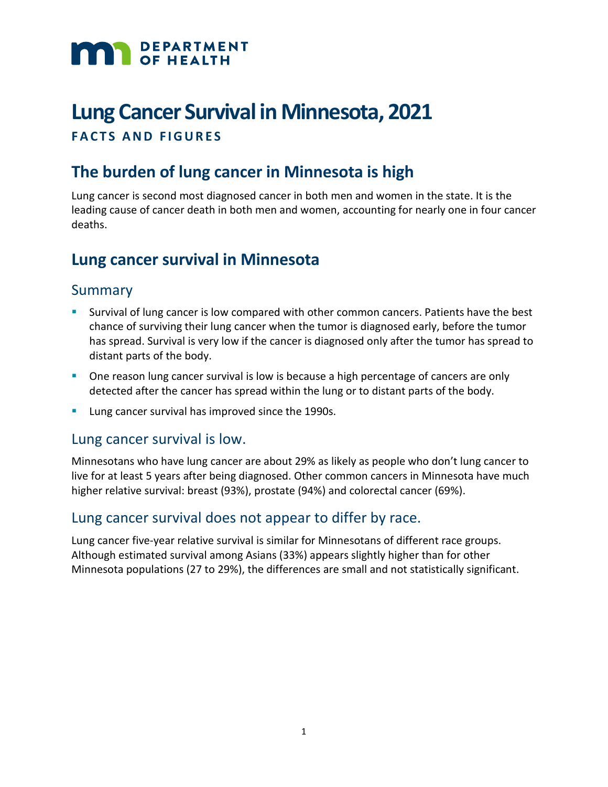

# **Lung Cancer Survival in Minnesota, 2021 FACTS AND FIGURES**

# **The burden of lung cancer in Minnesota is high**

Lung cancer is second most diagnosed cancer in both men and women in the state. It is the leading cause of cancer death in both men and women, accounting for nearly one in four cancer deaths.

# **Lung cancer survival in Minnesota**

## Summary

- Survival of lung cancer is low compared with other common cancers. Patients have the best chance of surviving their lung cancer when the tumor is diagnosed early, before the tumor has spread. Survival is very low if the cancer is diagnosed only after the tumor has spread to distant parts of the body.
- **One reason lung cancer survival is low is because a high percentage of cancers are only** detected after the cancer has spread within the lung or to distant parts of the body.
- **Lung cancer survival has improved since the 1990s.**

#### Lung cancer survival is low.

Minnesotans who have lung cancer are about 29% as likely as people who don't lung cancer to live for at least 5 years after being diagnosed. Other common cancers in Minnesota have much higher relative survival: breast (93%), prostate (94%) and colorectal cancer (69%).

## Lung cancer survival does not appear to differ by race.

Lung cancer five-year relative survival is similar for Minnesotans of different race groups. Although estimated survival among Asians (33%) appears slightly higher than for other Minnesota populations (27 to 29%), the differences are small and not statistically significant.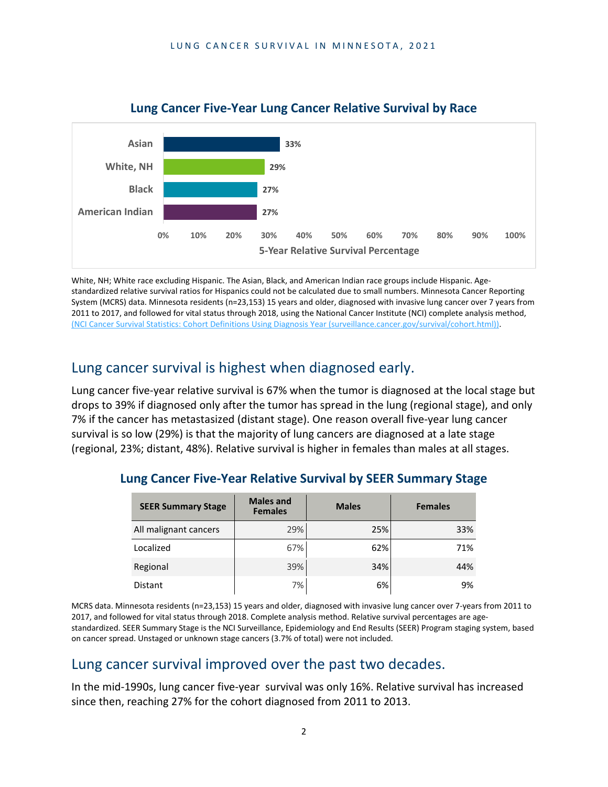

#### **Lung Cancer Five-Year Lung Cancer Relative Survival by Race**

White, NH; White race excluding Hispanic. The Asian, Black, and American Indian race groups include Hispanic. Agestandardized relative survival ratios for Hispanics could not be calculated due to small numbers. Minnesota Cancer Reporting System (MCRS) data. Minnesota residents (n=23,153) 15 years and older, diagnosed with invasive lung cancer over 7 years from 2011 to 2017, and followed for vital status through 2018, using the National Cancer Institute (NCI) complete analysis method, [\(NCI Cancer Survival Statistics: Cohort Definitions Using Diagnosis Year \(surveillance.cancer.gov/survival/cohort.html\)\).](https://surveillance.cancer.gov/survival/cohort.html)

## Lung cancer survival is highest when diagnosed early.

Lung cancer five-year relative survival is 67% when the tumor is diagnosed at the local stage but drops to 39% if diagnosed only after the tumor has spread in the lung (regional stage), and only 7% if the cancer has metastasized (distant stage). One reason overall five-year lung cancer survival is so low (29%) is that the majority of lung cancers are diagnosed at a late stage (regional, 23%; distant, 48%). Relative survival is higher in females than males at all stages.

| <b>SEER Summary Stage</b> | <b>Males and</b><br><b>Females</b> | <b>Males</b> | <b>Females</b> |  |
|---------------------------|------------------------------------|--------------|----------------|--|
| All malignant cancers     | 29%                                | 25%          | 33%            |  |
| Localized                 | 67%                                | 62%          | 71%            |  |
| Regional                  | 39%                                | 34%          | 44%            |  |
| Distant                   | 7%                                 | 6%           | 9%             |  |

#### **Lung Cancer Five-Year Relative Survival by SEER Summary Stage**

MCRS data. Minnesota residents (n=23,153) 15 years and older, diagnosed with invasive lung cancer over 7-years from 2011 to 2017, and followed for vital status through 2018. Complete analysis method. Relative survival percentages are agestandardized. SEER Summary Stage is the NCI Surveillance, Epidemiology and End Results (SEER) Program staging system, based on cancer spread. Unstaged or unknown stage cancers (3.7% of total) were not included.

# Lung cancer survival improved over the past two decades.

In the mid-1990s, lung cancer five-year survival was only 16%. Relative survival has increased since then, reaching 27% for the cohort diagnosed from 2011 to 2013.